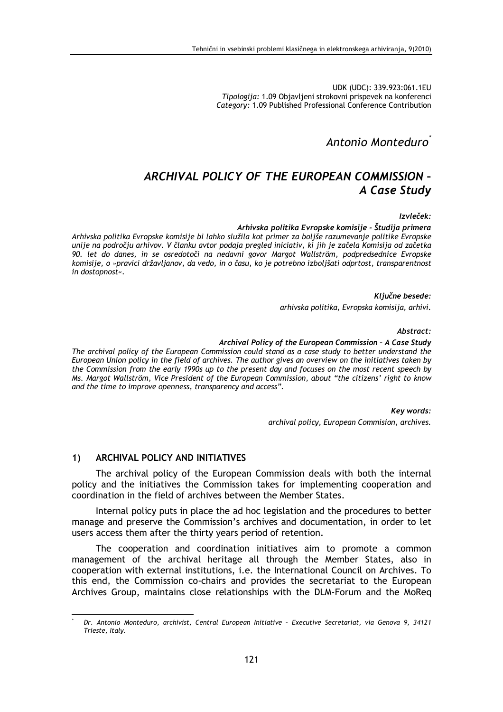UDK (UDC): 339.923:061.1EU Tipologija: 1.09 Objavljeni strokovni prispevek na konferenci Category: 1.09 Published Professional Conference Contribution

Antonio Monteduro

## ARCHIVAL POLICY OF THE EUROPEAN COMMISSION -A Case Study

Izvleček:

Arhivska politika Evropske komisije - Študija primera

Arhivska politika Evropske komisije bi lahko služila kot primer za boljše razumevanje politike Evropske unije na področju arhivov. V članku avtor podaja pregled iniciativ, ki jih je začela Komisija od začetka 90. let do danes, in se osredotoči na nedavni govor Margot Wallström, podpredsednice Evropske komisije, o »pravici državljanov, da vedo, in o času, ko je potrebno izboljšati odprtost, transparentnost in dostopnost«.

Ključne besede:

arhivska politika, Evropska komisija, arhivi.

Abstract:

## Archival Policy of the European Commission - A Case Study

The archival policy of the European Commission could stand as a case study to better understand the European Union policy in the field of archives. The author gives an overview on the initiatives taken by the Commission from the early 1990s up to the present day and focuses on the most recent speech by Ms. Margot Wallström, Vice President of the European Commission, about "the citizens' right to know and the time to improve openness, transparency and access".

> Key words: archival policy, European Commision, archives.

## ARCHIVAL POLICY AND INITIATIVES  $1)$

The archival policy of the European Commission deals with both the internal policy and the initiatives the Commission takes for implementing cooperation and coordination in the field of archives between the Member States.

Internal policy puts in place the ad hoc legislation and the procedures to better manage and preserve the Commission's archives and documentation, in order to let users access them after the thirty years period of retention.

The cooperation and coordination initiatives aim to promote a common management of the archival heritage all through the Member States, also in cooperation with external institutions, i.e. the International Council on Archives. To this end, the Commission co-chairs and provides the secretariat to the European Archives Group, maintains close relationships with the DLM-Forum and the MoReq

Dr. Antonio Monteduro, archivist, Central European Initiative - Executive Secretariat, via Genova 9, 34121 Trieste, Italy.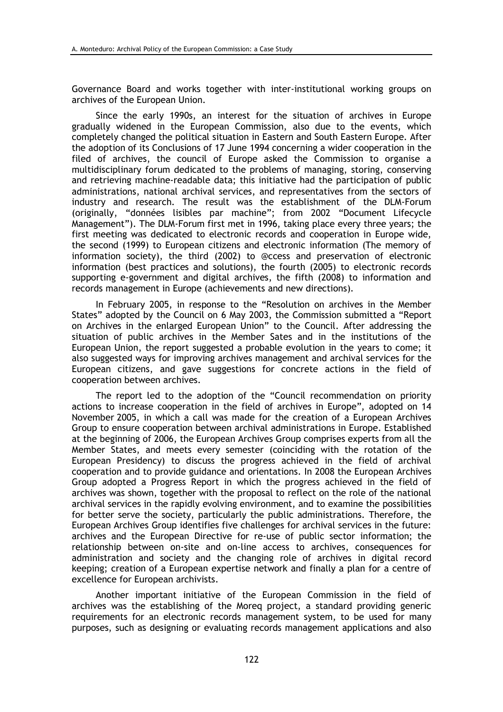Governance Board and works together with inter-institutional working groups on archives of the European Union.

Since the early 1990s, an interest for the situation of archives in Europe gradually widened in the European Commission, also due to the events, which completely changed the political situation in Eastern and South Eastern Europe. After the adoption of its Conclusions of 17 June 1994 concerning a wider cooperation in the filed of archives, the council of Europe asked the Commission to organise a multidisciplinary forum dedicated to the problems of managing, storing, conserving and retrieving machine-readable data; this initiative had the participation of public administrations, national archival services, and representatives from the sectors of industry and research. The result was the establishment of the DLM-Forum (originally, "données lisibles par machine"; from 2002 "Document Lifecycle<br>Management"). The DLM-Forum first met in 1996, taking place every three years; the first meeting was dedicated to electronic records and cooperation in Europe wide, the second (1999) to European citizens and electronic information (The memory of information society), the third (2002) to @ccess and preservation of electronic information (best practices and solutions), the fourth (2005) to electronic records supporting e-government and digital archives, the fifth (2008) to information and records management in Europe (achievements and new directions).

In February 2005, in response to the "Resolution on archives in the Member States" adopted by the Council on 6 May 2003, the Commission submitted a "Report" on Archives in the enlarged European Union" to the Council. After addressing the situation of public archives in the Member Sates and in the institutions of the European Union, the report suggested a probable evolution in the vears to come; it also suggested ways for improving archives management and archival services for the European citizens, and gave suggestions for concrete actions in the field of cooperation between archives.

The report led to the adoption of the "Council recommendation on priority actions to increase cooperation in the field of archives in Europe", adopted on 14 November 2005, in which a call was made for the creation of a European Archives Group to ensure cooperation between archival administrations in Europe. Established at the beginning of 2006, the European Archives Group comprises experts from all the Member States, and meets every semester (coinciding with the rotation of the European Presidency) to discuss the progress achieved in the field of archival cooperation and to provide guidance and orientations. In 2008 the European Archives Group adopted a Progress Report in which the progress achieved in the field of archives was shown, together with the proposal to reflect on the role of the national archival services in the rapidly evolving environment, and to examine the possibilities for better serve the society, particularly the public administrations. Therefore, the European Archives Group identifies five challenges for archival services in the future: archives and the European Directive for re-use of public sector information; the relationship between on-site and on-line access to archives, consequences for administration and society and the changing role of archives in digital record keeping; creation of a European expertise network and finally a plan for a centre of excellence for European archivists.

Another important initiative of the European Commission in the field of archives was the establishing of the Moreg project, a standard providing generic requirements for an electronic records management system, to be used for many purposes, such as designing or evaluating records management applications and also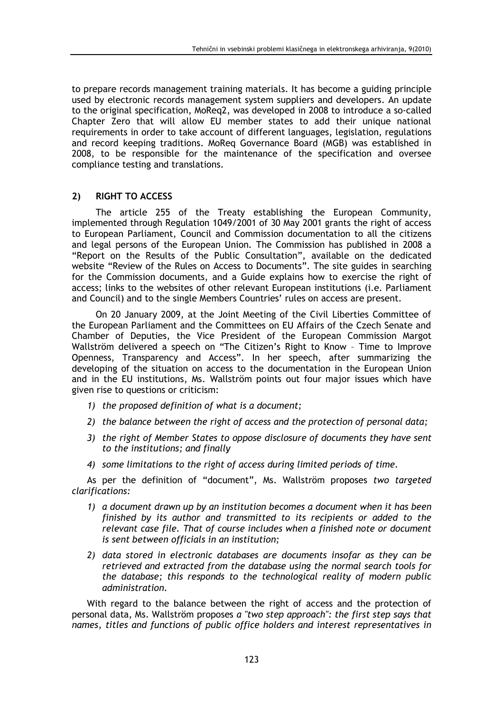to prepare records management training materials. It has become a guiding principle used by electronic records management system suppliers and developers. An update to the original specification, MoReg2, was developed in 2008 to introduce a so-called Chapter Zero that will allow EU member states to add their unique national requirements in order to take account of different languages, legislation, regulations and record keeping traditions. MoReq Governance Board (MGB) was established in 2008, to be responsible for the maintenance of the specification and oversee compliance testing and translations.

## $2)$ **RIGHT TO ACCESS**

The article 255 of the Treaty establishing the European Community, implemented through Regulation 1049/2001 of 30 May 2001 grants the right of access to European Parliament, Council and Commission documentation to all the citizens and legal persons of the European Union. The Commission has published in 2008 a "Report on the Results of the Public Consultation", available on the dedicated<br>website "Review of the Rules on Access to Documents". The site guides in searching for the Commission documents, and a Guide explains how to exercise the right of access; links to the websites of other relevant European institutions (i.e. Parliament and Council) and to the single Members Countries' rules on access are present.

On 20 January 2009, at the Joint Meeting of the Civil Liberties Committee of the European Parliament and the Committees on EU Affairs of the Czech Senate and Chamber of Deputies, the Vice President of the European Commission Margot Wallström delivered a speech on "The Citizen's Right to Know - Time to Improve Openness, Transparency and Access". In her speech, after summarizing the developing of the situation on access to the documentation in the European Union and in the EU institutions, Ms. Wallström points out four major issues which have given rise to questions or criticism:

- 1) the proposed definition of what is a document:
- 2) the balance between the right of access and the protection of personal data;
- 3) the right of Member States to oppose disclosure of documents they have sent to the institutions; and finally
- 4) some limitations to the right of access during limited periods of time.

As per the definition of "document", Ms. Wallström proposes two targeted clarifications:

- 1) a document drawn up by an institution becomes a document when it has been finished by its author and transmitted to its recipients or added to the relevant case file. That of course includes when a finished note or document is sent between officials in an institution;
- 2) data stored in electronic databases are documents insofar as they can be retrieved and extracted from the database using the normal search tools for the database; this responds to the technological reality of modern public administration.

With regard to the balance between the right of access and the protection of personal data, Ms. Wallström proposes a "two step approach": the first step says that names, titles and functions of public office holders and interest representatives in